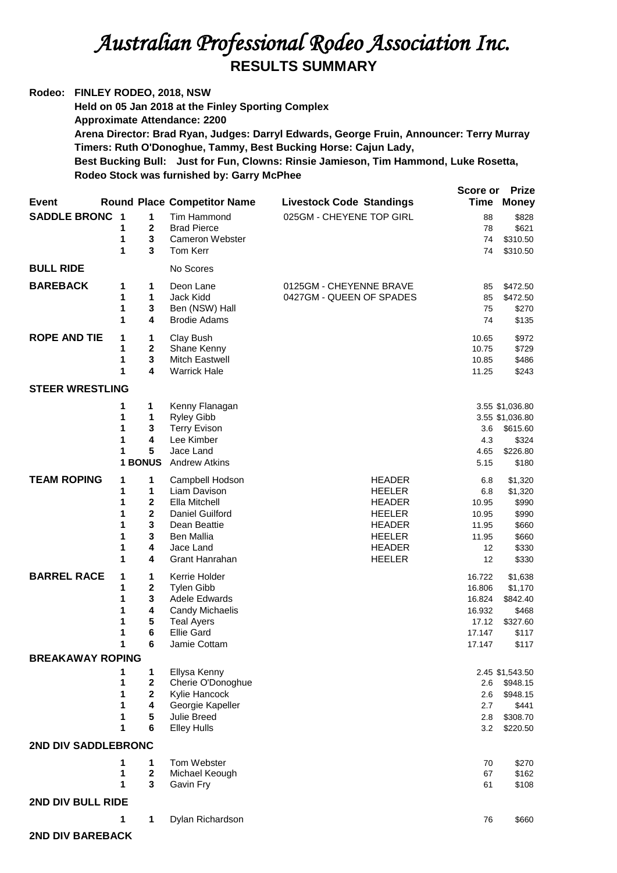## *Australian Professional Rodeo Association Inc.*  **RESULTS SUMMARY**

**Rodeo: FINLEY RODEO, 2018, NSW Held on 05 Jan 2018 at the Finley Sporting Complex Approximate Attendance: 2200 Arena Director: Brad Ryan, Judges: Darryl Edwards, George Fruin, Announcer: Terry Murray Timers: Ruth O'Donoghue, Tammy, Best Bucking Horse: Cajun Lady, Best Bucking Bull: Just for Fun, Clowns: Rinsie Jamieson, Tim Hammond, Luke Rosetta, Rodeo Stock was furnished by: Garry McPhee Score or Prize** 

| <b>Event</b>            |        |                       | <b>Round Place Competitor Name</b>      | <b>Livestock Code Standings</b> |                  | <b>Time Money</b> |
|-------------------------|--------|-----------------------|-----------------------------------------|---------------------------------|------------------|-------------------|
| <b>SADDLE BRONC 1</b>   |        | 1                     | Tim Hammond                             | 025GM - CHEYENE TOP GIRL        | 88               | \$828             |
|                         | 1      | $\mathbf 2$           | <b>Brad Pierce</b>                      |                                 | 78               | \$621             |
|                         | 1      | 3                     | <b>Cameron Webster</b>                  |                                 | 74               | \$310.50          |
|                         | 1      | 3                     | Tom Kerr                                |                                 | 74               | \$310.50          |
| <b>BULL RIDE</b>        |        |                       | No Scores                               |                                 |                  |                   |
| <b>BAREBACK</b>         | 1      | 1                     | Deon Lane                               | 0125GM - CHEYENNE BRAVE         | 85               | \$472.50          |
|                         | 1      | 1                     | Jack Kidd                               | 0427GM - QUEEN OF SPADES        | 85               | \$472.50          |
|                         | 1      | 3                     | Ben (NSW) Hall                          |                                 | 75               | \$270             |
|                         | 1      | 4                     | <b>Brodie Adams</b>                     |                                 | 74               | \$135             |
| <b>ROPE AND TIE</b>     | 1      | 1                     | Clay Bush                               |                                 | 10.65            | \$972             |
|                         | 1      | $\boldsymbol{2}$      | Shane Kenny                             |                                 | 10.75            | \$729             |
|                         | 1      | $\mathbf 3$           | <b>Mitch Eastwell</b>                   |                                 | 10.85            | \$486             |
|                         | 1      | 4                     | <b>Warrick Hale</b>                     |                                 | 11.25            | \$243             |
| <b>STEER WRESTLING</b>  |        |                       |                                         |                                 |                  |                   |
|                         | 1      | 1                     | Kenny Flanagan                          |                                 |                  | 3.55 \$1,036.80   |
|                         | 1      | 1                     | <b>Ryley Gibb</b>                       |                                 |                  | 3.55 \$1,036.80   |
|                         | 1<br>1 | 3<br>4                | <b>Terry Evison</b><br>Lee Kimber       |                                 | 3.6<br>4.3       | \$615.60<br>\$324 |
|                         | 1      | 5                     | Jace Land                               |                                 | 4.65             | \$226.80          |
|                         |        | <b>1 BONUS</b>        | <b>Andrew Atkins</b>                    |                                 | 5.15             | \$180             |
| <b>TEAM ROPING</b>      | 1      | 1                     | Campbell Hodson                         | <b>HEADER</b>                   | 6.8              | \$1,320           |
|                         | 1      | 1                     | Liam Davison                            | <b>HEELER</b>                   | 6.8              | \$1,320           |
|                         | 1      | $\mathbf{2}$          | Ella Mitchell                           | <b>HEADER</b>                   | 10.95            | \$990             |
|                         | 1      | $\mathbf{2}$          | Daniel Guilford                         | <b>HEELER</b>                   | 10.95            | \$990             |
|                         | 1      | 3                     | Dean Beattie                            | <b>HEADER</b>                   | 11.95            | \$660             |
|                         | 1      | 3                     | <b>Ben Mallia</b>                       | <b>HEELER</b>                   | 11.95            | \$660             |
|                         | 1      | 4                     | Jace Land                               | <b>HEADER</b>                   | 12               | \$330             |
|                         | 1      | 4                     | Grant Hanrahan                          | <b>HEELER</b>                   | 12               | \$330             |
| <b>BARREL RACE</b>      | 1      | 1                     | Kerrie Holder                           |                                 | 16.722           | \$1,638           |
|                         | 1      | $\mathbf{2}$          | <b>Tylen Gibb</b>                       |                                 | 16.806           | \$1,170           |
|                         | 1<br>1 | 3<br>4                | <b>Adele Edwards</b><br>Candy Michaelis |                                 | 16.824<br>16.932 | \$842.40<br>\$468 |
|                         | 1      | 5                     | <b>Teal Ayers</b>                       |                                 | 17.12            | \$327.60          |
|                         | 1      | 6                     | <b>Ellie Gard</b>                       |                                 | 17.147           | \$117             |
|                         | 1      | 6                     | Jamie Cottam                            |                                 | 17.147           | \$117             |
| <b>BREAKAWAY ROPING</b> |        |                       |                                         |                                 |                  |                   |
|                         | 1      | 1                     | Ellysa Kenny                            |                                 |                  | 2.45 \$1,543.50   |
|                         | 1      | $\bf 2$               | Cherie O'Donoghue                       |                                 | 2.6              | \$948.15          |
|                         | 1      | $\boldsymbol{2}$      | Kylie Hancock                           |                                 | 2.6              | \$948.15          |
|                         | 1      | 4                     | Georgie Kapeller                        |                                 | 2.7              | \$441             |
|                         | 1<br>1 | 5<br>6                | Julie Breed<br><b>Elley Hulls</b>       |                                 | 2.8              | \$308.70          |
|                         |        |                       |                                         |                                 | 3.2              | \$220.50          |
| 2ND DIV SADDLEBRONC     |        |                       |                                         |                                 |                  |                   |
|                         | 1      | 1                     | Tom Webster                             |                                 | 70               | \$270             |
|                         | 1<br>1 | $\boldsymbol{2}$<br>3 | Michael Keough<br>Gavin Fry             |                                 | 67               | \$162             |
|                         |        |                       |                                         |                                 | 61               | \$108             |
| 2ND DIV BULL RIDE       |        |                       |                                         |                                 |                  |                   |
|                         | 1      | 1                     | Dylan Richardson                        |                                 | 76               | \$660             |
|                         |        |                       |                                         |                                 |                  |                   |

**2ND DIV BAREBACK**